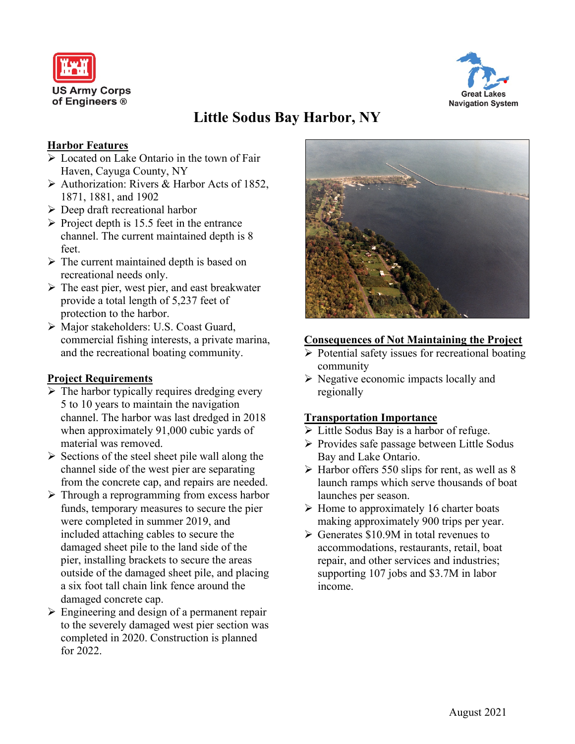



# **Little Sodus Bay Harbor, NY**

## **Harbor Features**

- Located on Lake Ontario in the town of Fair Haven, Cayuga County, NY
- Authorization: Rivers & Harbor Acts of 1852, 1871, 1881, and 1902
- $\triangleright$  Deep draft recreational harbor
- $\triangleright$  Project depth is 15.5 feet in the entrance channel. The current maintained depth is 8 feet.
- $\triangleright$  The current maintained depth is based on recreational needs only.
- $\triangleright$  The east pier, west pier, and east breakwater provide a total length of 5,237 feet of protection to the harbor.
- Major stakeholders: U.S. Coast Guard, commercial fishing interests, a private marina, and the recreational boating community.

### **Project Requirements**

- $\triangleright$  The harbor typically requires dredging every 5 to 10 years to maintain the navigation channel. The harbor was last dredged in 2018 when approximately 91,000 cubic yards of material was removed.
- $\triangleright$  Sections of the steel sheet pile wall along the channel side of the west pier are separating from the concrete cap, and repairs are needed.
- $\triangleright$  Through a reprogramming from excess harbor funds, temporary measures to secure the pier were completed in summer 2019, and included attaching cables to secure the damaged sheet pile to the land side of the pier, installing brackets to secure the areas outside of the damaged sheet pile, and placing a six foot tall chain link fence around the damaged concrete cap.
- $\triangleright$  Engineering and design of a permanent repair to the severely damaged west pier section was completed in 2020. Construction is planned for 2022.



### **Consequences of Not Maintaining the Project**

- $\triangleright$  Potential safety issues for recreational boating community
- $\triangleright$  Negative economic impacts locally and regionally

### **Transportation Importance**

- $\triangleright$  Little Sodus Bay is a harbor of refuge.
- $\triangleright$  Provides safe passage between Little Sodus Bay and Lake Ontario.
- $\triangleright$  Harbor offers 550 slips for rent, as well as 8 launch ramps which serve thousands of boat launches per season.
- $\triangleright$  Home to approximately 16 charter boats making approximately 900 trips per year.
- $\triangleright$  Generates \$10.9M in total revenues to accommodations, restaurants, retail, boat repair, and other services and industries; supporting 107 jobs and \$3.7M in labor income.